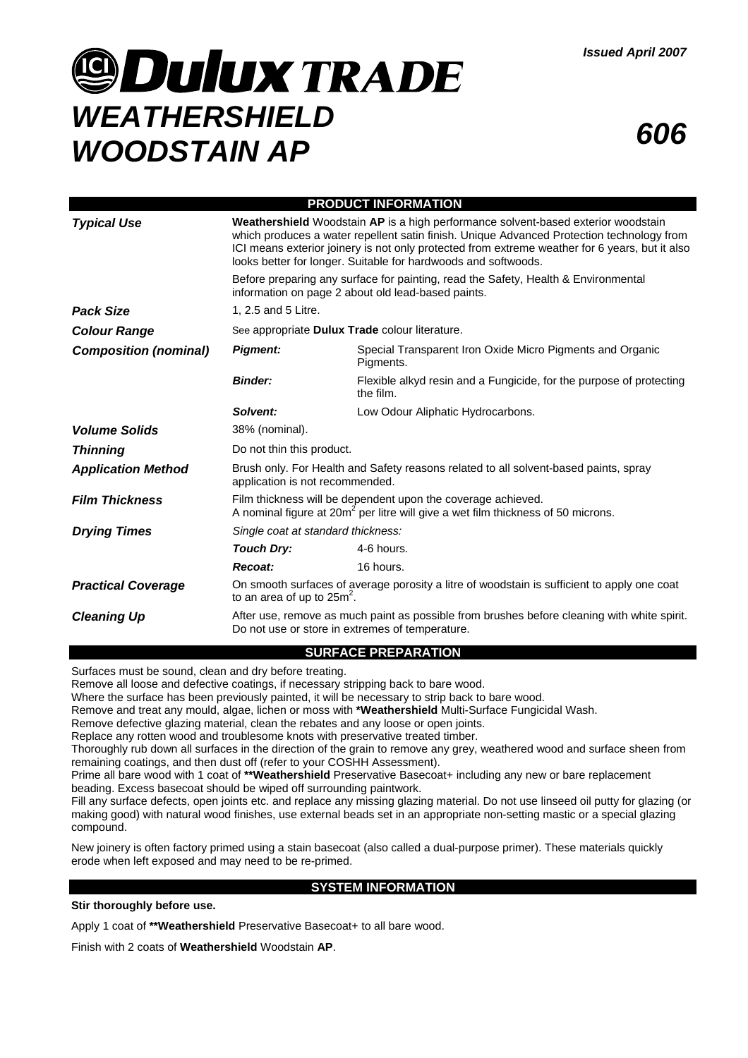# **JOULUX TRADE** *WEATHERSHIELD WOODSTAIN AP <sup>606</sup>*



| <b>PRODUCT INFORMATION</b>   |                                                                                                                                                                                                                                                                                                                                                                                                                                                                                                       |                                                                                  |
|------------------------------|-------------------------------------------------------------------------------------------------------------------------------------------------------------------------------------------------------------------------------------------------------------------------------------------------------------------------------------------------------------------------------------------------------------------------------------------------------------------------------------------------------|----------------------------------------------------------------------------------|
| <b>Typical Use</b>           | <b>Weathershield</b> Woodstain AP is a high performance solvent-based exterior woodstain<br>which produces a water repellent satin finish. Unique Advanced Protection technology from<br>ICI means exterior joinery is not only protected from extreme weather for 6 years, but it also<br>looks better for longer. Suitable for hardwoods and softwoods.<br>Before preparing any surface for painting, read the Safety, Health & Environmental<br>information on page 2 about old lead-based paints. |                                                                                  |
|                              |                                                                                                                                                                                                                                                                                                                                                                                                                                                                                                       |                                                                                  |
| <b>Pack Size</b>             | 1, 2.5 and 5 Litre.                                                                                                                                                                                                                                                                                                                                                                                                                                                                                   |                                                                                  |
| <b>Colour Range</b>          | See appropriate Dulux Trade colour literature.                                                                                                                                                                                                                                                                                                                                                                                                                                                        |                                                                                  |
| <b>Composition (nominal)</b> | <b>Pigment:</b>                                                                                                                                                                                                                                                                                                                                                                                                                                                                                       | Special Transparent Iron Oxide Micro Pigments and Organic<br>Pigments.           |
|                              | <b>Binder:</b>                                                                                                                                                                                                                                                                                                                                                                                                                                                                                        | Flexible alkyd resin and a Fungicide, for the purpose of protecting<br>the film. |
|                              | Solvent:                                                                                                                                                                                                                                                                                                                                                                                                                                                                                              | Low Odour Aliphatic Hydrocarbons.                                                |
| <b>Volume Solids</b>         | 38% (nominal).                                                                                                                                                                                                                                                                                                                                                                                                                                                                                        |                                                                                  |
| <b>Thinning</b>              | Do not thin this product.                                                                                                                                                                                                                                                                                                                                                                                                                                                                             |                                                                                  |
| <b>Application Method</b>    | Brush only. For Health and Safety reasons related to all solvent-based paints, spray<br>application is not recommended.                                                                                                                                                                                                                                                                                                                                                                               |                                                                                  |
| <b>Film Thickness</b>        | Film thickness will be dependent upon the coverage achieved.<br>A nominal figure at 20m <sup>2</sup> per litre will give a wet film thickness of 50 microns.                                                                                                                                                                                                                                                                                                                                          |                                                                                  |
| <b>Drying Times</b>          | Single coat at standard thickness:                                                                                                                                                                                                                                                                                                                                                                                                                                                                    |                                                                                  |
|                              | <b>Touch Dry:</b>                                                                                                                                                                                                                                                                                                                                                                                                                                                                                     | 4-6 hours.                                                                       |
|                              | Recoat:                                                                                                                                                                                                                                                                                                                                                                                                                                                                                               | 16 hours.                                                                        |
| <b>Practical Coverage</b>    | On smooth surfaces of average porosity a litre of woodstain is sufficient to apply one coat<br>to an area of up to $25m2$ .                                                                                                                                                                                                                                                                                                                                                                           |                                                                                  |
| <b>Cleaning Up</b>           | After use, remove as much paint as possible from brushes before cleaning with white spirit.<br>Do not use or store in extremes of temperature.                                                                                                                                                                                                                                                                                                                                                        |                                                                                  |

### **SURFACE PREPARATION**

Surfaces must be sound, clean and dry before treating.

Remove all loose and defective coatings, if necessary stripping back to bare wood.

Where the surface has been previously painted, it will be necessary to strip back to bare wood.

Remove and treat any mould, algae, lichen or moss with **\*Weathershield** Multi-Surface Fungicidal Wash.

Remove defective glazing material, clean the rebates and any loose or open joints.

Replace any rotten wood and troublesome knots with preservative treated timber.

Thoroughly rub down all surfaces in the direction of the grain to remove any grey, weathered wood and surface sheen from remaining coatings, and then dust off (refer to your COSHH Assessment).

Prime all bare wood with 1 coat of \*\*Weathershield Preservative Basecoat+ including any new or bare replacement beading. Excess basecoat should be wiped off surrounding paintwork.

Fill any surface defects, open joints etc. and replace any missing glazing material. Do not use linseed oil putty for glazing (or making good) with natural wood finishes, use external beads set in an appropriate non-setting mastic or a special glazing compound.

New joinery is often factory primed using a stain basecoat (also called a dual-purpose primer). These materials quickly erode when left exposed and may need to be re-primed.

### **SYSTEM INFORMATION**

**Stir thoroughly before use.** 

Apply 1 coat of **\*\*Weathershield** Preservative Basecoat+ to all bare wood.

Finish with 2 coats of **Weathershield** Woodstain **AP**.